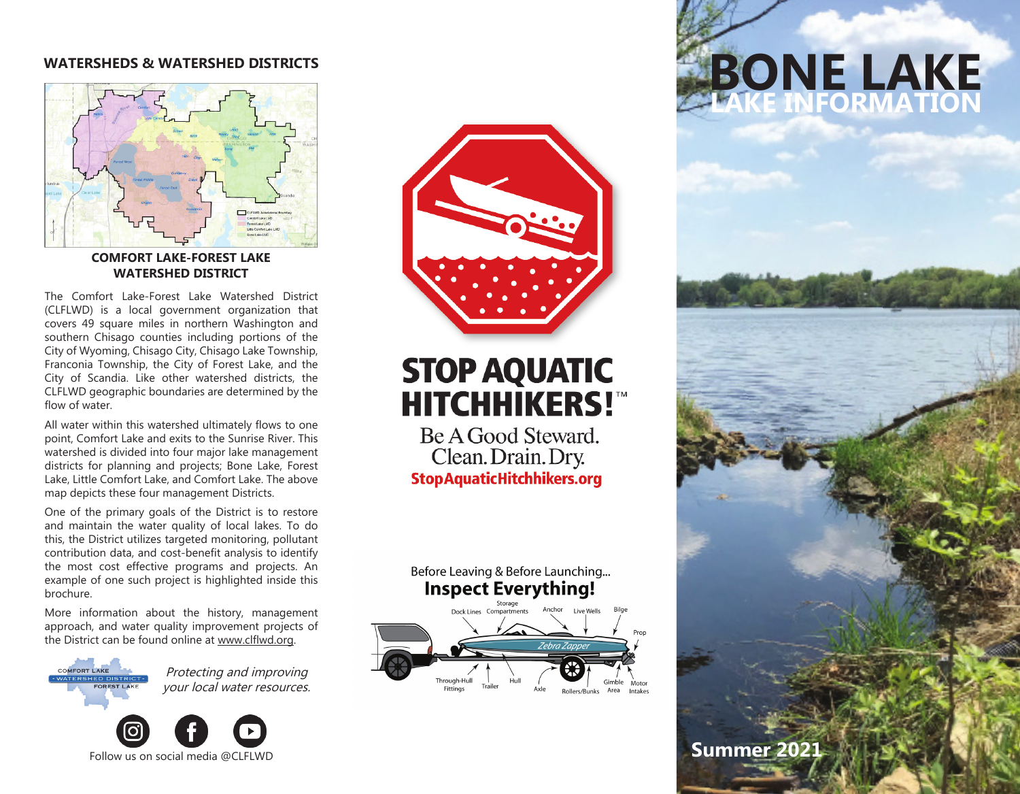### **WATERSHEDS & WATERSHED DISTRICTS**



#### **COMFORT LAKE-FOREST LAKE WATERSHED DISTRICT**

The Comfort Lake-Forest Lake Watershed District (CLFLWD) is a local government organization that covers 49 square miles in northern Washington and southern Chisago counties including portions of the City of Wyoming, Chisago City, Chisago Lake Township, Franconia Township, the City of Forest Lake, and the City of Scandia. Like other watershed districts, the CLFLWD geographic boundaries are determined by the flow of water.

All water within this watershed ultimately flows to one point, Comfort Lake and exits to the Sunrise River. This watershed is divided into four major lake management districts for planning and projects; Bone Lake, Forest Lake, Little Comfort Lake, and Comfort Lake. The above map depicts these four management Districts.

One of the primary goals of the District is to restore and maintain the water quality of local lakes. To do this, the District utilizes targeted monitoring, pollutant contribution data, and cost-benefit analysis to identify the most cost effective programs and projects. An example of one such project is highlighted inside this brochure.

More information about the history, management approach, and water quality improvement projects of the District can be found online at www.clflwd.org.

> Protecting and improving your local water resources.





## **STOP AQUATIC HITCHHIKERS!"**

Be A Good Steward. Clean. Drain. Dry. **StopAquaticHitchhikers.org** 





# **BONE LAKE LAKE INFORMATION**